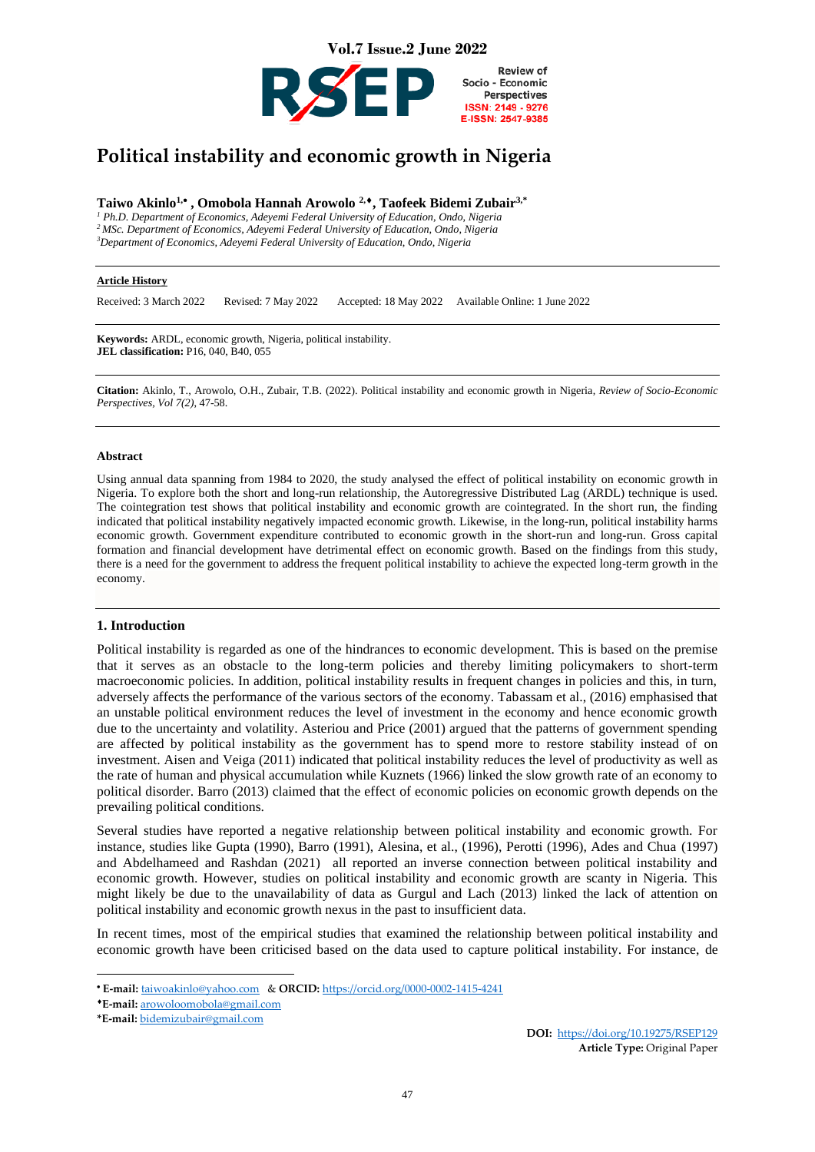

# **Political instability and economic growth in Nigeria**

# **Taiwo Akinlo1,**• **, Omobola Hannah Arowolo 2,, Taofeek Bidemi Zubair3,\***

*<sup>1</sup> Ph.D. Department of Economics, Adeyemi Federal University of Education, Ondo, Nigeria <sup>2</sup> MSc. Department of Economics, Adeyemi Federal University of Education, Ondo, Nigeria <sup>3</sup>Department of Economics, Adeyemi Federal University of Education, Ondo, Nigeria*

#### **Article History**

Received: 3 March 2022 Revised: 7 May 2022 Accepted: 18 May 2022 Available Online: 1 June 2022

**Keywords:** ARDL, economic growth, Nigeria, political instability. **JEL classification:** P16, 040, B40, 055

**Citation:** Akinlo, T., Arowolo, O.H., Zubair, T.B. (2022). Political instability and economic growth in Nigeria, *Review of Socio-Economic Perspectives, Vol 7(2)*, 47-58.

#### **Abstract**

Using annual data spanning from 1984 to 2020, the study analysed the effect of political instability on economic growth in Nigeria. To explore both the short and long-run relationship, the Autoregressive Distributed Lag (ARDL) technique is used. The cointegration test shows that political instability and economic growth are cointegrated. In the short run, the finding indicated that political instability negatively impacted economic growth. Likewise, in the long-run, political instability harms economic growth. Government expenditure contributed to economic growth in the short-run and long-run. Gross capital formation and financial development have detrimental effect on economic growth. Based on the findings from this study, there is a need for the government to address the frequent political instability to achieve the expected long-term growth in the economy.

#### **1. Introduction**

Political instability is regarded as one of the hindrances to economic development. This is based on the premise that it serves as an obstacle to the long-term policies and thereby limiting policymakers to short-term macroeconomic policies. In addition, political instability results in frequent changes in policies and this, in turn, adversely affects the performance of the various sectors of the economy. Tabassam et al., (2016) emphasised that an unstable political environment reduces the level of investment in the economy and hence economic growth due to the uncertainty and volatility. Asteriou and Price (2001) argued that the patterns of government spending are affected by political instability as the government has to spend more to restore stability instead of on investment. Aisen and Veiga (2011) indicated that political instability reduces the level of productivity as well as the rate of human and physical accumulation while Kuznets (1966) linked the slow growth rate of an economy to political disorder. Barro (2013) claimed that the effect of economic policies on economic growth depends on the prevailing political conditions.

Several studies have reported a negative relationship between political instability and economic growth. For instance, studies like Gupta (1990), Barro (1991), Alesina, et al., (1996), Perotti (1996), Ades and Chua (1997) and Abdelhameed and Rashdan (2021) all reported an inverse connection between political instability and economic growth. However, studies on political instability and economic growth are scanty in Nigeria. This might likely be due to the unavailability of data as Gurgul and Lach (2013) linked the lack of attention on political instability and economic growth nexus in the past to insufficient data.

In recent times, most of the empirical studies that examined the relationship between political instability and economic growth have been criticised based on the data used to capture political instability. For instance, de

<sup>•</sup> **E-mail:** [taiwoakinlo@yahoo.com](mailto:taiwoakinlo@yahoo.com) & **ORCID:** <https://orcid.org/0000-0002-1415-4241>

**E-mail:** [arowoloomobola@gmail.com](mailto:arowoloomobola@gmail.com)

**<sup>\*</sup>E-mail:** [bidemizubair@gmail.com](mailto:bidemizubair@gmail.com)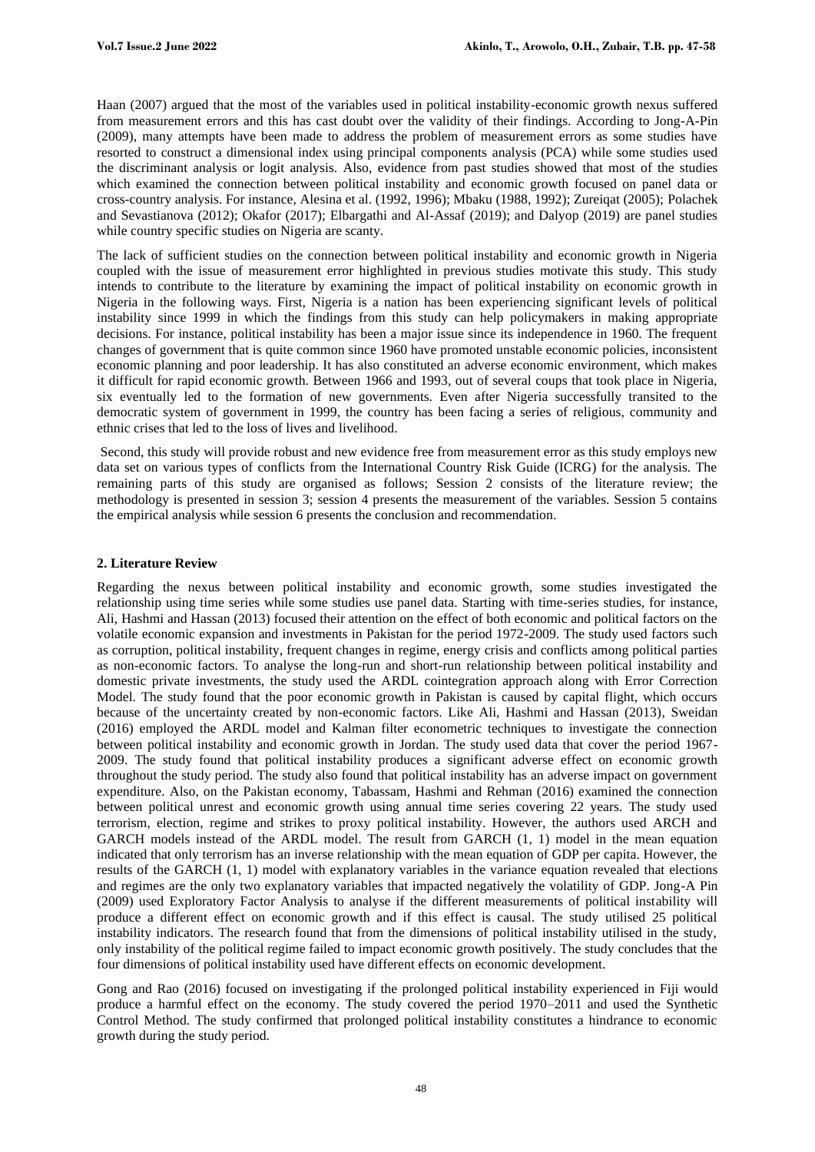Haan (2007) argued that the most of the variables used in political instability-economic growth nexus suffered from measurement errors and this has cast doubt over the validity of their findings. According to Jong-A-Pin (2009), many attempts have been made to address the problem of measurement errors as some studies have resorted to construct a dimensional index using principal components analysis (PCA) while some studies used the discriminant analysis or logit analysis. Also, evidence from past studies showed that most of the studies which examined the connection between political instability and economic growth focused on panel data or cross-country analysis. For instance, Alesina et al. (1992, 1996); Mbaku (1988, 1992); Zureiqat (2005); Polachek and Sevastianova (2012); Okafor (2017); Elbargathi and Al-Assaf (2019); and Dalyop (2019) are panel studies while country specific studies on Nigeria are scanty.

The lack of sufficient studies on the connection between political instability and economic growth in Nigeria coupled with the issue of measurement error highlighted in previous studies motivate this study. This study intends to contribute to the literature by examining the impact of political instability on economic growth in Nigeria in the following ways. First, Nigeria is a nation has been experiencing significant levels of political instability since 1999 in which the findings from this study can help policymakers in making appropriate decisions. For instance, political instability has been a major issue since its independence in 1960. The frequent changes of government that is quite common since 1960 have promoted unstable economic policies, inconsistent economic planning and poor leadership. It has also constituted an adverse economic environment, which makes it difficult for rapid economic growth. Between 1966 and 1993, out of several coups that took place in Nigeria, six eventually led to the formation of new governments. Even after Nigeria successfully transited to the democratic system of government in 1999, the country has been facing a series of religious, community and ethnic crises that led to the loss of lives and livelihood.

Second, this study will provide robust and new evidence free from measurement error as this study employs new data set on various types of conflicts from the International Country Risk Guide (ICRG) for the analysis. The remaining parts of this study are organised as follows; Session 2 consists of the literature review; the methodology is presented in session 3; session 4 presents the measurement of the variables. Session 5 contains the empirical analysis while session 6 presents the conclusion and recommendation.

# **2. Literature Review**

Regarding the nexus between political instability and economic growth, some studies investigated the relationship using time series while some studies use panel data. Starting with time-series studies, for instance, Ali, Hashmi and Hassan (2013) focused their attention on the effect of both economic and political factors on the volatile economic expansion and investments in Pakistan for the period 1972-2009. The study used factors such as corruption, political instability, frequent changes in regime, energy crisis and conflicts among political parties as non-economic factors. To analyse the long-run and short-run relationship between political instability and domestic private investments, the study used the ARDL cointegration approach along with Error Correction Model. The study found that the poor economic growth in Pakistan is caused by capital flight, which occurs because of the uncertainty created by non-economic factors. Like Ali, Hashmi and Hassan (2013), Sweidan (2016) employed the ARDL model and Kalman filter econometric techniques to investigate the connection between political instability and economic growth in Jordan. The study used data that cover the period 1967- 2009. The study found that political instability produces a significant adverse effect on economic growth throughout the study period. The study also found that political instability has an adverse impact on government expenditure. Also, on the Pakistan economy, Tabassam, Hashmi and Rehman (2016) examined the connection between political unrest and economic growth using annual time series covering 22 years. The study used terrorism, election, regime and strikes to proxy political instability. However, the authors used ARCH and GARCH models instead of the ARDL model. The result from GARCH (1, 1) model in the mean equation indicated that only terrorism has an inverse relationship with the mean equation of GDP per capita. However, the results of the GARCH (1, 1) model with explanatory variables in the variance equation revealed that elections and regimes are the only two explanatory variables that impacted negatively the volatility of GDP. Jong-A Pin (2009) used Exploratory Factor Analysis to analyse if the different measurements of political instability will produce a different effect on economic growth and if this effect is causal. The study utilised 25 political instability indicators. The research found that from the dimensions of political instability utilised in the study, only instability of the political regime failed to impact economic growth positively. The study concludes that the four dimensions of political instability used have different effects on economic development.

Gong and Rao (2016) focused on investigating if the prolonged political instability experienced in Fiji would produce a harmful effect on the economy. The study covered the period 1970–2011 and used the Synthetic Control Method. The study confirmed that prolonged political instability constitutes a hindrance to economic growth during the study period.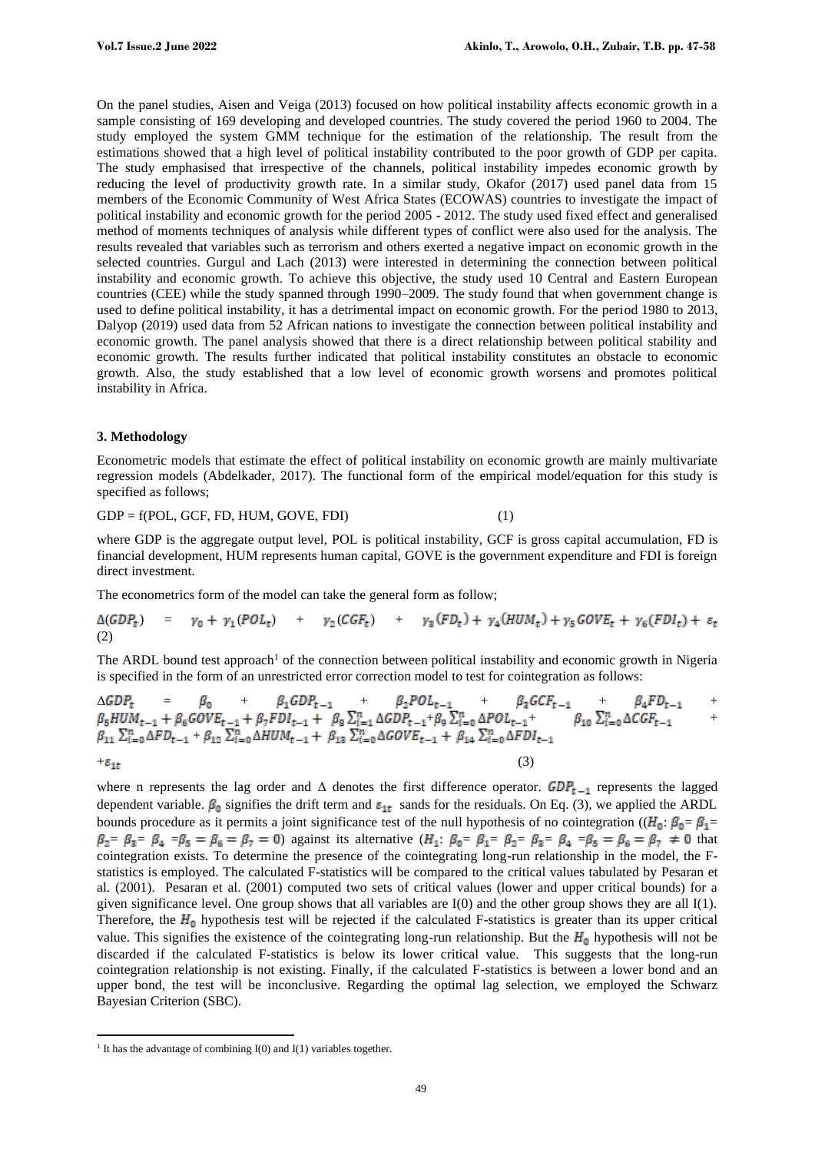On the panel studies, Aisen and Veiga (2013) focused on how political instability affects economic growth in a sample consisting of 169 developing and developed countries. The study covered the period 1960 to 2004. The study employed the system GMM technique for the estimation of the relationship. The result from the estimations showed that a high level of political instability contributed to the poor growth of GDP per capita. The study emphasised that irrespective of the channels, political instability impedes economic growth by reducing the level of productivity growth rate. In a similar study, Okafor (2017) used panel data from 15 members of the Economic Community of West Africa States (ECOWAS) countries to investigate the impact of political instability and economic growth for the period 2005 - 2012. The study used fixed effect and generalised method of moments techniques of analysis while different types of conflict were also used for the analysis. The results revealed that variables such as terrorism and others exerted a negative impact on economic growth in the selected countries. Gurgul and Lach (2013) were interested in determining the connection between political instability and economic growth. To achieve this objective, the study used 10 Central and Eastern European countries (CEE) while the study spanned through 1990–2009. The study found that when government change is used to define political instability, it has a detrimental impact on economic growth. For the period 1980 to 2013, Dalyop (2019) used data from 52 African nations to investigate the connection between political instability and economic growth. The panel analysis showed that there is a direct relationship between political stability and economic growth. The results further indicated that political instability constitutes an obstacle to economic growth. Also, the study established that a low level of economic growth worsens and promotes political instability in Africa.

### **3. Methodology**

Econometric models that estimate the effect of political instability on economic growth are mainly multivariate regression models (Abdelkader, 2017). The functional form of the empirical model/equation for this study is specified as follows;

 $GDP = f(POL, GCF, FD, HUM, GOVE, FDI)$  (1)

where GDP is the aggregate output level, POL is political instability, GCF is gross capital accumulation, FD is financial development, HUM represents human capital, GOVE is the government expenditure and FDI is foreign direct investment.

The econometrics form of the model can take the general form as follow;

 $\Delta(GDP_t)$  =  $\gamma_0 + \gamma_1 (POL_t)$  +  $\gamma_2 (CGF_t)$  +  $\gamma_3 (FD_t) + \gamma_4 (HUM_t) + \gamma_5 GOVE_t + \gamma_6 (FDI_t) + \varepsilon_t$ (2)

The ARDL bound test approach<sup>1</sup> of the connection between political instability and economic growth in Nigeria is specified in the form of an unrestricted error correction model to test for cointegration as follows:

$$
\Delta GDP_{t} = \beta_{0} + \beta_{1} GDP_{t-1} + \beta_{2} POL_{t-1} + \beta_{3} GCF_{t-1} + \beta_{4} FD_{t-1} + \beta_{5} HUM_{t-1} + \beta_{6} GOVE_{t-1} + \beta_{7} FDI_{t-1} + \beta_{8} \sum_{i=1}^{n} \Delta GDP_{t-1} + \beta_{9} \sum_{i=0}^{n} \Delta POL_{t-1} + \beta_{10} \sum_{i=0}^{n} \Delta CGF_{t-1} + \beta_{11} \sum_{i=0}^{n} \Delta FD_{t-1} + \beta_{12} \sum_{i=0}^{n} \Delta HUM_{t-1} + \beta_{13} \sum_{i=0}^{n} \Delta GOVE_{t-1} + \beta_{14} \sum_{i=0}^{n} \Delta FDI_{t-1}
$$
\n
$$
+ \epsilon_{1t} \tag{3}
$$

where n represents the lag order and  $\Delta$  denotes the first difference operator.  $GDP_{t-1}$  represents the lagged dependent variable.  $\beta_0$  signifies the drift term and  $\varepsilon_{1t}$  sands for the residuals. On Eq. (3), we applied the ARDL bounds procedure as it permits a joint significance test of the null hypothesis of no cointegration (( $H_0: \beta_0 = \beta_1 =$  $\beta_2 = \beta_3 = \beta_4 = \beta_5 = \beta_6 = \beta_7 = 0$  against its alternative  $(H_1: \beta_0 = \beta_1 = \beta_2 = \beta_3 = \beta_4 = \beta_5 = \beta_6 = \beta_7 \neq 0$  that cointegration exists. To determine the presence of the cointegrating long-run relationship in the model, the Fstatistics is employed. The calculated F-statistics will be compared to the critical values tabulated by Pesaran et al. (2001). Pesaran et al. (2001) computed two sets of critical values (lower and upper critical bounds) for a given significance level. One group shows that all variables are I(0) and the other group shows they are all I(1). Therefore, the  $H_0$  hypothesis test will be rejected if the calculated F-statistics is greater than its upper critical value. This signifies the existence of the cointegrating long-run relationship. But the  $H_0$  hypothesis will not be discarded if the calculated F-statistics is below its lower critical value. This suggests that the long-run cointegration relationship is not existing. Finally, if the calculated F-statistics is between a lower bond and an upper bond, the test will be inconclusive. Regarding the optimal lag selection, we employed the Schwarz Bayesian Criterion (SBC).

<sup>&</sup>lt;sup>1</sup> It has the advantage of combining  $I(0)$  and  $I(1)$  variables together.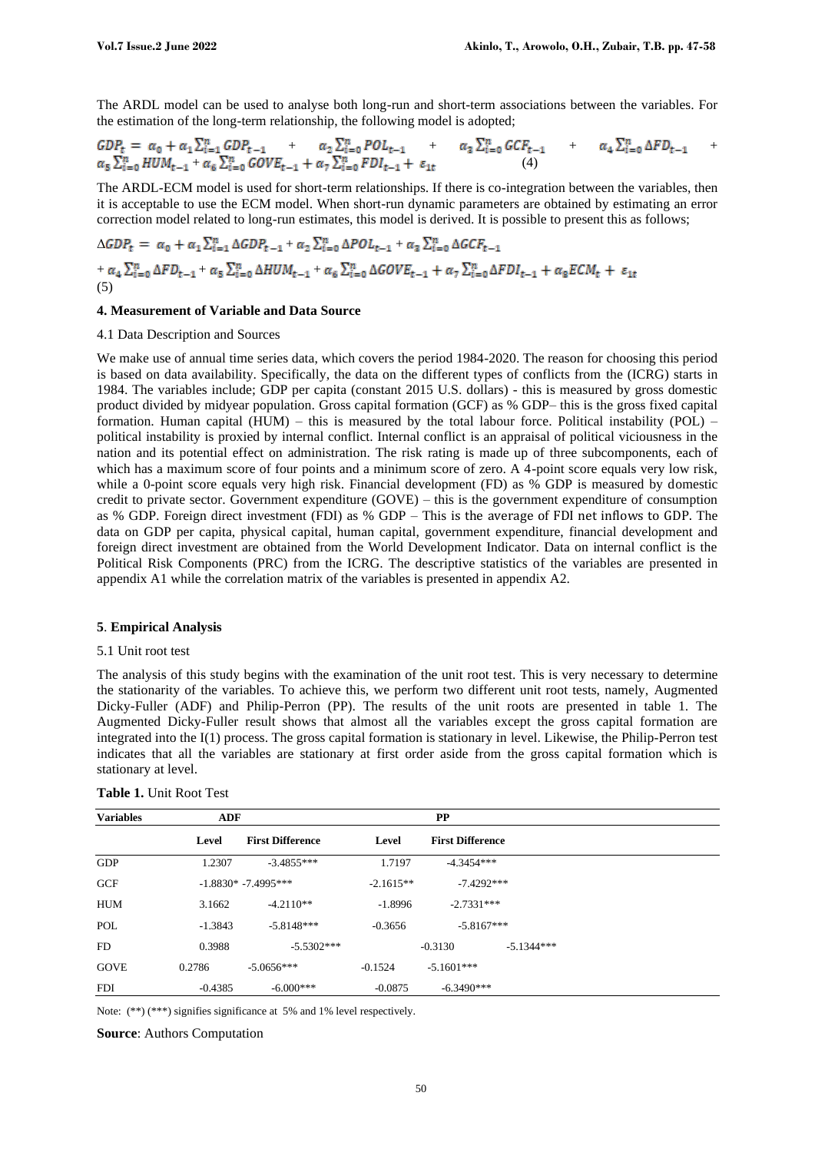The ARDL model can be used to analyse both long-run and short-term associations between the variables. For the estimation of the long-term relationship, the following model is adopted;

$$
GDP_{t} = \alpha_{0} + \alpha_{1} \sum_{i=1}^{n} GDP_{t-1} + \alpha_{2} \sum_{i=0}^{n} POL_{t-1} + \alpha_{3} \sum_{i=0}^{n} GCF_{t-1} + \alpha_{4} \sum_{i=0}^{n} \Delta FD_{t-1} + \alpha_{5} \sum_{i=0}^{n} GVP_{t-1} + \alpha_{6} \sum_{i=0}^{n} GVP_{t-1} + \alpha_{7} \sum_{i=0}^{n} FDI_{t-1} + \epsilon_{1t}
$$
\n(4)

The ARDL-ECM model is used for short-term relationships. If there is co-integration between the variables, then it is acceptable to use the ECM model. When short-run dynamic parameters are obtained by estimating an error correction model related to long-run estimates, this model is derived. It is possible to present this as follows;

$$
\Delta GDP_t = \alpha_0 + \alpha_1 \sum_{i=1}^n \Delta GDP_{t-1} + \alpha_2 \sum_{i=0}^n \Delta POL_{t-1} + \alpha_3 \sum_{i=0}^n \Delta GCF_{t-1} + \alpha_4 \sum_{i=0}^n \Delta FD_{t-1} + \alpha_5 \sum_{i=0}^n \Delta HUM_{t-1} + \alpha_6 \sum_{i=0}^n \Delta GOVE_{t-1} + \alpha_7 \sum_{i=0}^n \Delta FDI_{t-1} + \alpha_8 ECM_t + \varepsilon_{1t}
$$
  
(5)

#### **4. Measurement of Variable and Data Source**

#### 4.1 Data Description and Sources

We make use of annual time series data, which covers the period 1984-2020. The reason for choosing this period is based on data availability. Specifically, the data on the different types of conflicts from the (ICRG) starts in 1984. The variables include; GDP per capita (constant 2015 U.S. dollars) - this is measured by gross domestic product divided by midyear population. Gross capital formation (GCF) as % GDP– this is the gross fixed capital formation. Human capital (HUM) – this is measured by the total labour force. Political instability (POL) – political instability is proxied by internal conflict. Internal conflict is an appraisal of political viciousness in the nation and its potential effect on administration. The risk rating is made up of three subcomponents, each of which has a maximum score of four points and a minimum score of zero. A 4-point score equals very low risk, while a 0-point score equals very high risk. Financial development (FD) as % GDP is measured by domestic credit to private sector. Government expenditure (GOVE) – this is the government expenditure of consumption as % GDP. Foreign direct investment (FDI) as % GDP – This is the average of FDI net inflows to GDP. The data on GDP per capita, physical capital, human capital, government expenditure, financial development and foreign direct investment are obtained from the World Development Indicator. Data on internal conflict is the Political Risk Components (PRC) from the ICRG. The descriptive statistics of the variables are presented in appendix A1 while the correlation matrix of the variables is presented in appendix A2.

#### **5**. **Empirical Analysis**

#### 5.1 Unit root test

The analysis of this study begins with the examination of the unit root test. This is very necessary to determine the stationarity of the variables. To achieve this, we perform two different unit root tests, namely, Augmented Dicky-Fuller (ADF) and Philip-Perron (PP). The results of the unit roots are presented in table 1. The Augmented Dicky-Fuller result shows that almost all the variables except the gross capital formation are integrated into the I(1) process. The gross capital formation is stationary in level. Likewise, the Philip-Perron test indicates that all the variables are stationary at first order aside from the gross capital formation which is stationary at level.

| <b>Variables</b> | <b>ADF</b> |                         |             |                         |              |
|------------------|------------|-------------------------|-------------|-------------------------|--------------|
|                  | Level      | <b>First Difference</b> | Level       | <b>First Difference</b> |              |
| <b>GDP</b>       | 1.2307     | $-3.4855***$            | 1.7197      | $-4.3454***$            |              |
| <b>GCF</b>       |            | $-1.8830* -7.4995***$   | $-2.1615**$ | $-7.4292***$            |              |
| <b>HUM</b>       | 3.1662     | $-4.2110**$             | $-1.8996$   | $-2.7331***$            |              |
| POL              | $-1.3843$  | $-5.8148***$            | $-0.3656$   | $-5.8167***$            |              |
| FD.              | 0.3988     | $-5.5302***$            |             | $-0.3130$               | $-5.1344***$ |
| <b>GOVE</b>      | 0.2786     | $-5.0656***$            | $-0.1524$   | $-5.1601***$            |              |
| <b>FDI</b>       | $-0.4385$  | $-6.000***$             | $-0.0875$   | $-6.3490***$            |              |

**Table 1.** Unit Root Test

Note: (\*\*) (\*\*\*) signifies significance at 5% and 1% level respectively.

**Source**: Authors Computation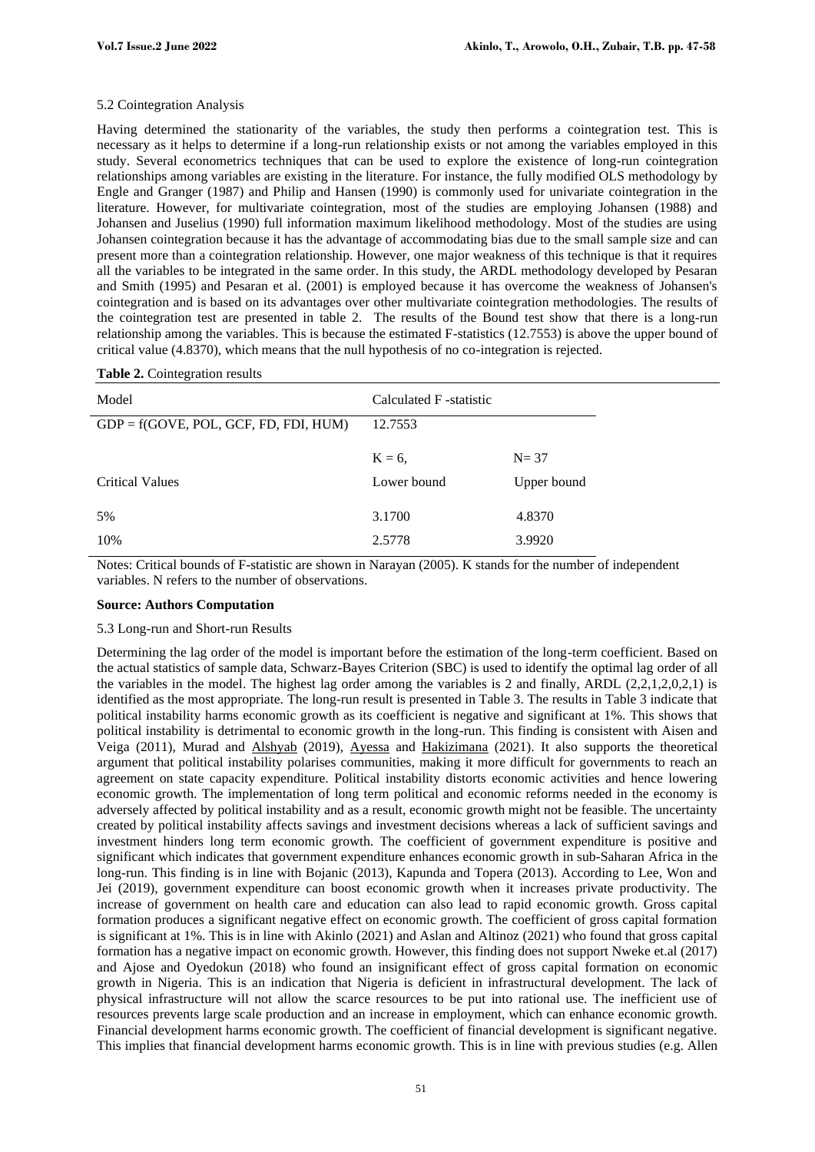#### 5.2 Cointegration Analysis

Having determined the stationarity of the variables, the study then performs a cointegration test. This is necessary as it helps to determine if a long-run relationship exists or not among the variables employed in this study. Several econometrics techniques that can be used to explore the existence of long-run cointegration relationships among variables are existing in the literature. For instance, the fully modified OLS methodology by Engle and Granger (1987) and Philip and Hansen (1990) is commonly used for univariate cointegration in the literature. However, for multivariate cointegration, most of the studies are employing Johansen (1988) and Johansen and Juselius (1990) full information maximum likelihood methodology. Most of the studies are using Johansen cointegration because it has the advantage of accommodating bias due to the small sample size and can present more than a cointegration relationship. However, one major weakness of this technique is that it requires all the variables to be integrated in the same order. In this study, the ARDL methodology developed by Pesaran and Smith (1995) and Pesaran et al. (2001) is employed because it has overcome the weakness of Johansen's cointegration and is based on its advantages over other multivariate cointegration methodologies. The results of the cointegration test are presented in table 2. The results of the Bound test show that there is a long-run relationship among the variables. This is because the estimated F-statistics (12.7553) is above the upper bound of critical value (4.8370), which means that the null hypothesis of no co-integration is rejected.

| Model                                   | Calculated F -statistic |             |  |
|-----------------------------------------|-------------------------|-------------|--|
| $GDP = f(GOVE, POL, GCF, FD, FDI, HUM)$ | 12.7553                 |             |  |
|                                         | $K = 6$ ,               | $N = 37$    |  |
| <b>Critical Values</b>                  | Lower bound             | Upper bound |  |
| 5%                                      | 3.1700                  | 4.8370      |  |
| 10%                                     | 2.5778                  | 3.9920      |  |

#### **Table 2.** Cointegration results

Notes: Critical bounds of F-statistic are shown in Narayan (2005). K stands for the number of independent variables. N refers to the number of observations.

#### **Source: Authors Computation**

#### 5.3 Long-run and Short-run Results

Determining the lag order of the model is important before the estimation of the long-term coefficient. Based on the actual statistics of sample data, Schwarz-Bayes Criterion (SBC) is used to identify the optimal lag order of all the variables in the model. The highest lag order among the variables is 2 and finally, ARDL (2,2,1,2,0,2,1) is identified as the most appropriate. The long-run result is presented in Table 3. The results in Table 3 indicate that political instability harms economic growth as its coefficient is negative and significant at 1%. This shows that political instability is detrimental to economic growth in the long-run. This finding is consistent with Aisen and Veiga (2011), [Murad a](https://www.emerald.com/insight/search?q=Malak%20Samih%20Abu%20Murad)nd [Alshyab](https://www.emerald.com/insight/search?q=Nooh%20Alshyab) (2019), [Ayessa](https://www.scirp.org/journal/articles.aspx?searchcode=Emerentienne++Bakaboukila+Ayessa&searchfield=authors&page=1) and [Hakizimana](https://www.scirp.org/journal/articles.aspx?searchcode=Jacques++Hakizimana&searchfield=authors&page=1) (2021). It also supports the theoretical argument that political instability polarises communities, making it more difficult for governments to reach an agreement on state capacity expenditure. Political instability distorts economic activities and hence lowering economic growth. The implementation of long term political and economic reforms needed in the economy is adversely affected by political instability and as a result, economic growth might not be feasible. The uncertainty created by political instability affects savings and investment decisions whereas a lack of sufficient savings and investment hinders long term economic growth. The coefficient of government expenditure is positive and significant which indicates that government expenditure enhances economic growth in sub-Saharan Africa in the long-run. This finding is in line with Bojanic (2013), Kapunda and Topera (2013). According to Lee, Won and Jei (2019), government expenditure can boost economic growth when it increases private productivity. The increase of government on health care and education can also lead to rapid economic growth. Gross capital formation produces a significant negative effect on economic growth. The coefficient of gross capital formation is significant at 1%. This is in line with Akinlo (2021) and Aslan and Altinoz (2021) who found that gross capital formation has a negative impact on economic growth. However, this finding does not support Nweke et.al (2017) and Ajose and Oyedokun (2018) who found an insignificant effect of gross capital formation on economic growth in Nigeria. This is an indication that Nigeria is deficient in infrastructural development. The lack of physical infrastructure will not allow the scarce resources to be put into rational use. The inefficient use of resources prevents large scale production and an increase in employment, which can enhance economic growth. Financial development harms economic growth. The coefficient of financial development is significant negative. This implies that financial development harms economic growth. This is in line with previous studies (e.g. Allen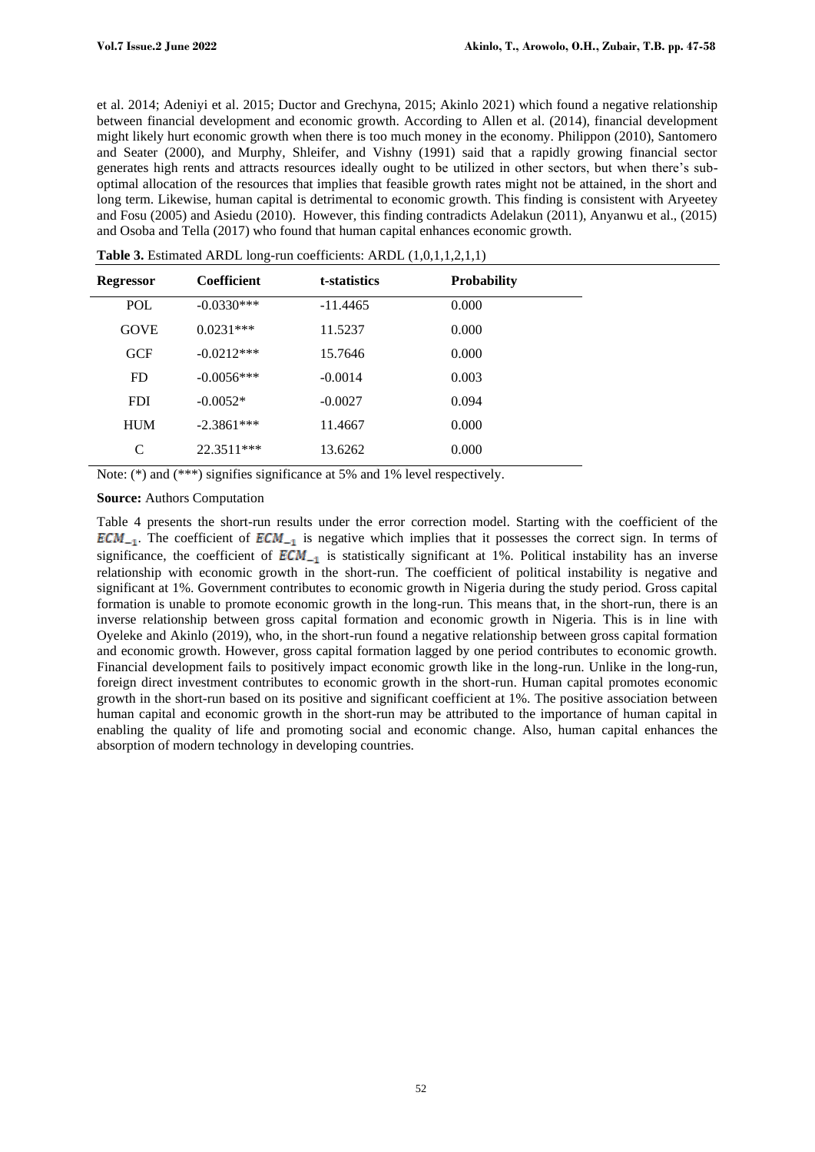et al. 2014; Adeniyi et al. 2015; Ductor and Grechyna, 2015; Akinlo 2021) which found a negative relationship between financial development and economic growth. According to Allen et al. (2014), financial development might likely hurt economic growth when there is too much money in the economy. Philippon (2010), Santomero and Seater (2000), and Murphy, Shleifer, and Vishny (1991) said that a rapidly growing financial sector generates high rents and attracts resources ideally ought to be utilized in other sectors, but when there's suboptimal allocation of the resources that implies that feasible growth rates might not be attained, in the short and long term. Likewise, human capital is detrimental to economic growth. This finding is consistent with Aryeetey and Fosu (2005) and Asiedu (2010). However, this finding contradicts Adelakun (2011), Anyanwu et al., (2015) and Osoba and Tella (2017) who found that human capital enhances economic growth.

| <b>Coefficient</b> | t-statistics | <b>Probability</b> |
|--------------------|--------------|--------------------|
| $-0.0330***$       | $-11.4465$   | 0.000              |
| $0.0231***$        | 11.5237      | 0.000              |
| $-0.0212***$       | 15.7646      | 0.000              |
| $-0.0056***$       | $-0.0014$    | 0.003              |
| $-0.0052*$         | $-0.0027$    | 0.094              |
| $-2.3861***$       | 11.4667      | 0.000              |
| 22.3511***         | 13.6262      | 0.000              |
|                    |              |                    |

**Table 3.** Estimated ARDL long-run coefficients: ARDL (1,0,1,1,2,1,1)

Note: (\*) and (\*\*\*) signifies significance at 5% and 1% level respectively.

#### **Source:** Authors Computation

Table 4 presents the short-run results under the error correction model. Starting with the coefficient of the  $ECM_{-1}$ . The coefficient of  $ECM_{-1}$  is negative which implies that it possesses the correct sign. In terms of significance, the coefficient of  $ECM_{-1}$  is statistically significant at 1%. Political instability has an inverse relationship with economic growth in the short-run. The coefficient of political instability is negative and significant at 1%. Government contributes to economic growth in Nigeria during the study period. Gross capital formation is unable to promote economic growth in the long-run. This means that, in the short-run, there is an inverse relationship between gross capital formation and economic growth in Nigeria. This is in line with Oyeleke and Akinlo (2019), who, in the short-run found a negative relationship between gross capital formation and economic growth. However, gross capital formation lagged by one period contributes to economic growth. Financial development fails to positively impact economic growth like in the long-run. Unlike in the long-run, foreign direct investment contributes to economic growth in the short-run. Human capital promotes economic growth in the short-run based on its positive and significant coefficient at 1%. The positive association between human capital and economic growth in the short-run may be attributed to the importance of human capital in enabling the quality of life and promoting social and economic change. Also, human capital enhances the absorption of modern technology in developing countries.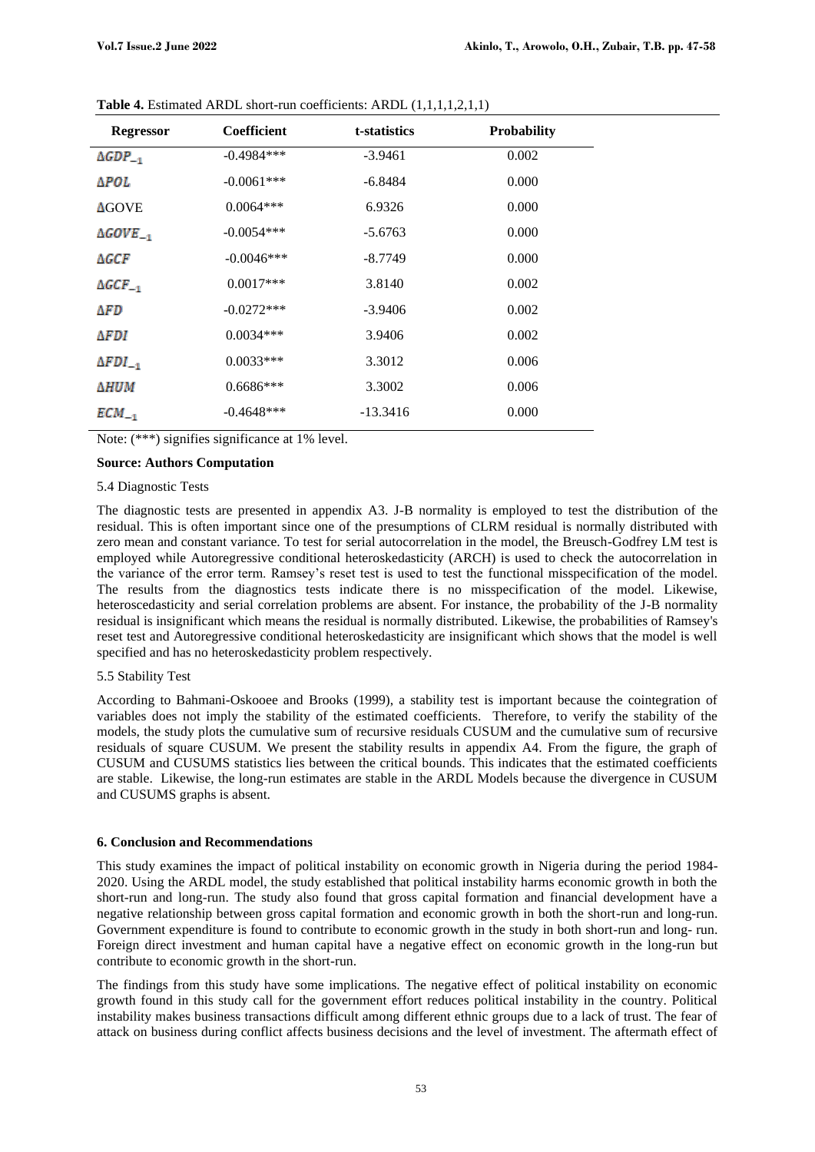| <b>Regressor</b>      | <b>Coefficient</b> | t-statistics | <b>Probability</b> |
|-----------------------|--------------------|--------------|--------------------|
| $\triangle GDP_{-1}$  | $-0.4984***$       | $-3.9461$    | 0.002              |
| ∆POL                  | $-0.0061***$       | $-6.8484$    | 0.000              |
| <b>AGOVE</b>          | $0.0064***$        | 6.9326       | 0.000              |
| $\triangle GOVE_{-1}$ | $-0.0054***$       | $-5.6763$    | 0.000              |
| ΔGCF                  | $-0.0046***$       | $-8.7749$    | 0.000              |
| $\triangle GCF_{-1}$  | $0.0017***$        | 3.8140       | 0.002              |
| ΔFD                   | $-0.0272***$       | $-3.9406$    | 0.002              |
| AFDI                  | $0.0034***$        | 3.9406       | 0.002              |
| $\Delta FDI_{-1}$     | $0.0033***$        | 3.3012       | 0.006              |
| ∆HUM                  | $0.6686***$        | 3.3002       | 0.006              |
| $ECM_{-1}$            | $-0.4648***$       | $-13.3416$   | 0.000              |

Table 4. Estimated ARDL short-run coefficients: ARDL  $(1,1,1,1,2,1,1)$ 

Note: (\*\*\*) signifies significance at 1% level.

#### **Source: Authors Computation**

#### 5.4 Diagnostic Tests

The diagnostic tests are presented in appendix A3. J-B normality is employed to test the distribution of the residual. This is often important since one of the presumptions of CLRM residual is normally distributed with zero mean and constant variance. To test for serial autocorrelation in the model, the Breusch-Godfrey LM test is employed while Autoregressive conditional heteroskedasticity (ARCH) is used to check the autocorrelation in the variance of the error term. Ramsey's reset test is used to test the functional misspecification of the model. The results from the diagnostics tests indicate there is no misspecification of the model. Likewise, heteroscedasticity and serial correlation problems are absent. For instance, the probability of the J-B normality residual is insignificant which means the residual is normally distributed. Likewise, the probabilities of Ramsey's reset test and Autoregressive conditional heteroskedasticity are insignificant which shows that the model is well specified and has no heteroskedasticity problem respectively.

#### 5.5 Stability Test

According to Bahmani-Oskooee and Brooks (1999), a stability test is important because the cointegration of variables does not imply the stability of the estimated coefficients. Therefore, to verify the stability of the models, the study plots the cumulative sum of recursive residuals CUSUM and the cumulative sum of recursive residuals of square CUSUM. We present the stability results in appendix A4. From the figure, the graph of CUSUM and CUSUMS statistics lies between the critical bounds. This indicates that the estimated coefficients are stable. Likewise, the long-run estimates are stable in the ARDL Models because the divergence in CUSUM and CUSUMS graphs is absent.

#### **6. Conclusion and Recommendations**

This study examines the impact of political instability on economic growth in Nigeria during the period 1984- 2020. Using the ARDL model, the study established that political instability harms economic growth in both the short-run and long-run. The study also found that gross capital formation and financial development have a negative relationship between gross capital formation and economic growth in both the short-run and long-run. Government expenditure is found to contribute to economic growth in the study in both short-run and long- run. Foreign direct investment and human capital have a negative effect on economic growth in the long-run but contribute to economic growth in the short-run.

The findings from this study have some implications. The negative effect of political instability on economic growth found in this study call for the government effort reduces political instability in the country. Political instability makes business transactions difficult among different ethnic groups due to a lack of trust. The fear of attack on business during conflict affects business decisions and the level of investment. The aftermath effect of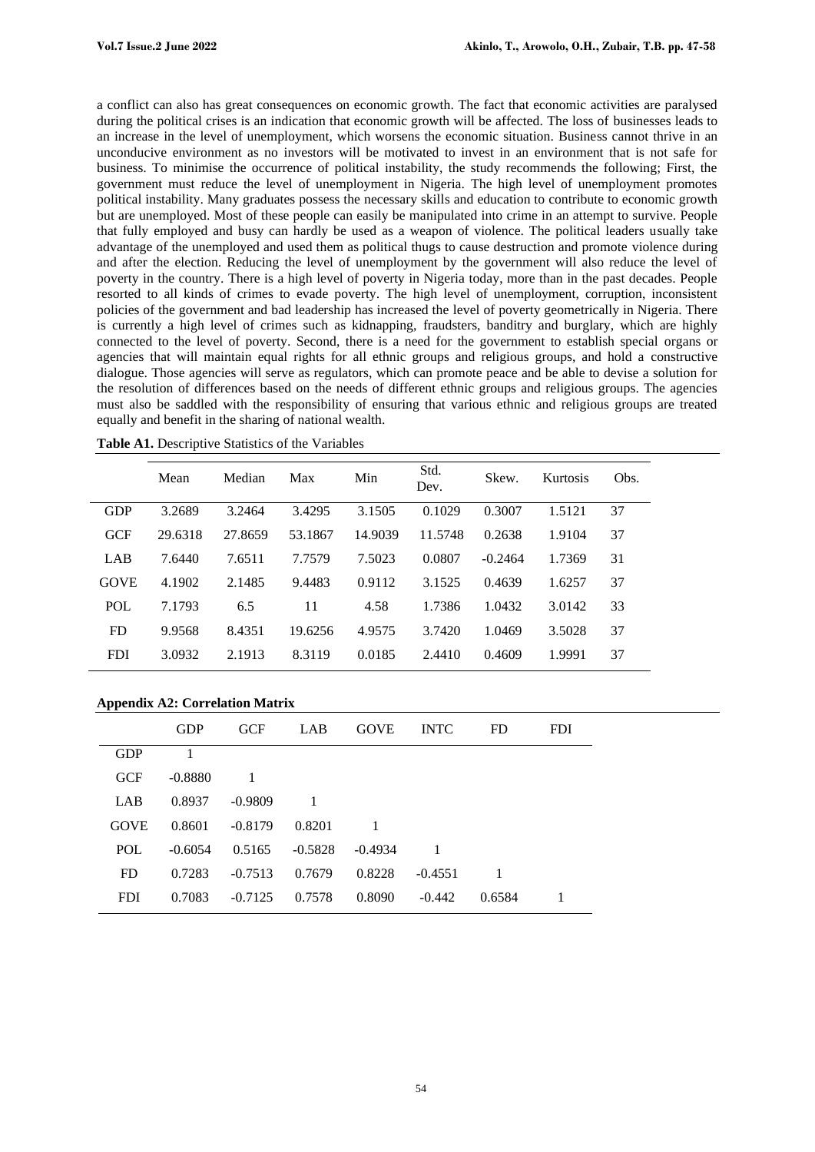a conflict can also has great consequences on economic growth. The fact that economic activities are paralysed during the political crises is an indication that economic growth will be affected. The loss of businesses leads to an increase in the level of unemployment, which worsens the economic situation. Business cannot thrive in an unconducive environment as no investors will be motivated to invest in an environment that is not safe for business. To minimise the occurrence of political instability, the study recommends the following; First, the government must reduce the level of unemployment in Nigeria. The high level of unemployment promotes political instability. Many graduates possess the necessary skills and education to contribute to economic growth but are unemployed. Most of these people can easily be manipulated into crime in an attempt to survive. People that fully employed and busy can hardly be used as a weapon of violence. The political leaders usually take advantage of the unemployed and used them as political thugs to cause destruction and promote violence during and after the election. Reducing the level of unemployment by the government will also reduce the level of poverty in the country. There is a high level of poverty in Nigeria today, more than in the past decades. People resorted to all kinds of crimes to evade poverty. The high level of unemployment, corruption, inconsistent policies of the government and bad leadership has increased the level of poverty geometrically in Nigeria. There is currently a high level of crimes such as kidnapping, fraudsters, banditry and burglary, which are highly connected to the level of poverty. Second, there is a need for the government to establish special organs or agencies that will maintain equal rights for all ethnic groups and religious groups, and hold a constructive dialogue. Those agencies will serve as regulators, which can promote peace and be able to devise a solution for the resolution of differences based on the needs of different ethnic groups and religious groups. The agencies must also be saddled with the responsibility of ensuring that various ethnic and religious groups are treated equally and benefit in the sharing of national wealth.

|             | Mean    | Median  | Max     | Min     | Std.<br>Dev. | Skew.     | Kurtosis | Obs. |
|-------------|---------|---------|---------|---------|--------------|-----------|----------|------|
| <b>GDP</b>  | 3.2689  | 3.2464  | 3.4295  | 3.1505  | 0.1029       | 0.3007    | 1.5121   | 37   |
| GCF         | 29.6318 | 27.8659 | 53.1867 | 14.9039 | 11.5748      | 0.2638    | 1.9104   | 37   |
| LAB         | 7.6440  | 7.6511  | 7.7579  | 7.5023  | 0.0807       | $-0.2464$ | 1.7369   | 31   |
| <b>GOVE</b> | 4.1902  | 2.1485  | 9.4483  | 0.9112  | 3.1525       | 0.4639    | 1.6257   | 37   |
| <b>POL</b>  | 7.1793  | 6.5     | 11      | 4.58    | 1.7386       | 1.0432    | 3.0142   | 33   |
| <b>FD</b>   | 9.9568  | 8.4351  | 19.6256 | 4.9575  | 3.7420       | 1.0469    | 3.5028   | 37   |
| <b>FDI</b>  | 3.0932  | 2.1913  | 8.3119  | 0.0185  | 2.4410       | 0.4609    | 1.9991   | 37   |

**Table A1.** Descriptive Statistics of the Variables

#### **Appendix A2: Correlation Matrix**

|             | <b>GDP</b> | <b>GCF</b> | LAB       | <b>GOVE</b> | <b>INTC</b> | <b>FD</b> | <b>FDI</b> |
|-------------|------------|------------|-----------|-------------|-------------|-----------|------------|
| <b>GDP</b>  |            |            |           |             |             |           |            |
| <b>GCF</b>  | $-0.8880$  |            |           |             |             |           |            |
| LAB         | 0.8937     | $-0.9809$  |           |             |             |           |            |
| <b>GOVE</b> | 0.8601     | $-0.8179$  | 0.8201    |             |             |           |            |
| POL         | $-0.6054$  | 0.5165     | $-0.5828$ | $-0.4934$   |             |           |            |
| <b>FD</b>   | 0.7283     | $-0.7513$  | 0.7679    | 0.8228      | $-0.4551$   |           |            |
| <b>FDI</b>  | 0.7083     | $-0.7125$  | 0.7578    | 0.8090      | $-0.442$    | 0.6584    |            |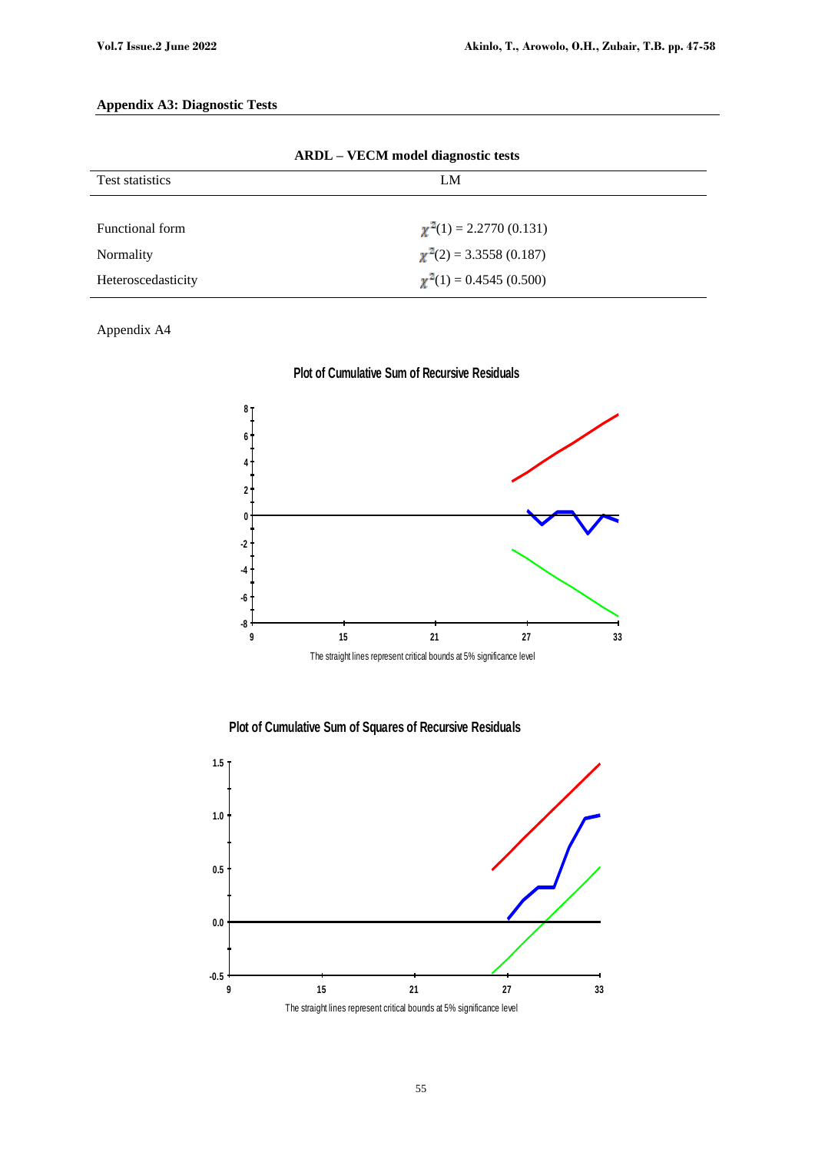# **Appendix A3: Diagnostic Tests**

| ARDL – VECM model diagnostic tests |                             |  |  |  |  |
|------------------------------------|-----------------------------|--|--|--|--|
| <b>Test statistics</b>             | LM                          |  |  |  |  |
|                                    |                             |  |  |  |  |
| Functional form                    | $\chi^2(1) = 2.2770(0.131)$ |  |  |  |  |
| Normality                          | $\chi^2(2) = 3.3558(0.187)$ |  |  |  |  |
| Heteroscedasticity                 | $\chi^2(1) = 0.4545(0.500)$ |  |  |  |  |

**ARDL – VECM model diagnostic tests**

# Appendix A4









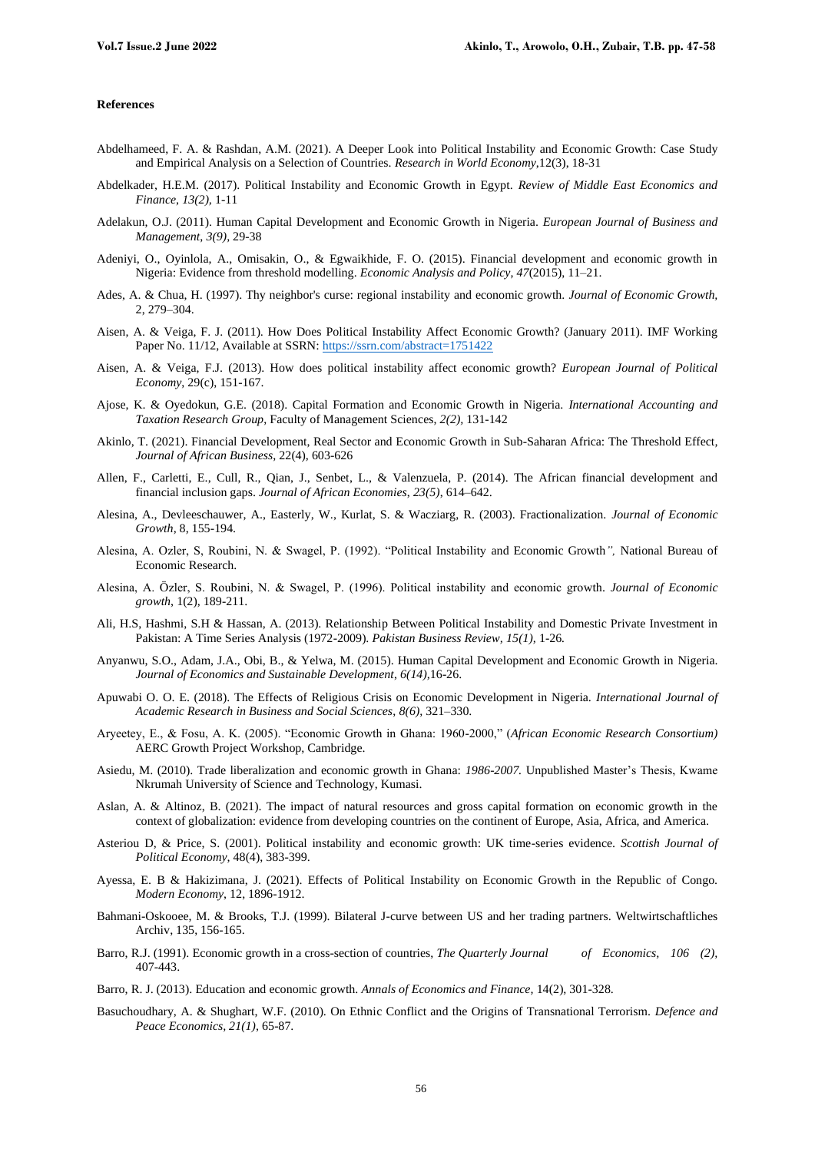#### **References**

- Abdelhameed, F. A. & Rashdan, A.M. (2021). A Deeper Look into Political Instability and Economic Growth: Case Study and Empirical Analysis on a Selection of Countries. *Research in World Economy*,12(3), 18-31
- Abdelkader, H.E.M. (2017). Political Instability and Economic Growth in Egypt. *Review of Middle East Economics and Finance*, *13(2),* 1-11
- Adelakun, O.J. (2011). Human Capital Development and Economic Growth in Nigeria. *European Journal of Business and Management*, *3(9),* 29-38
- Adeniyi, O., Oyinlola, A., Omisakin, O., & Egwaikhide, F. O. (2015). Financial development and economic growth in Nigeria: Evidence from threshold modelling. *Economic Analysis and Policy*, *47*(2015), 11–21.
- Ades, A. & Chua, H. (1997). Thy neighbor's curse: regional instability and economic growth. *Journal of Economic Growth,* 2, 279–304.
- Aisen, A. & Veiga, F. J. (2011). How Does Political Instability Affect Economic Growth? (January 2011). IMF Working Paper No. 11/12, Available at SSRN[: https://ssrn.com/abstract=1751422](https://ssrn.com/abstract=1751422)
- Aisen, A. & Veiga, F.J. (2013). How does political instability affect economic growth? *European Journal of Political Economy*, 29(c), 151-167.
- Ajose, K. & Oyedokun, G.E. (2018). Capital Formation and Economic Growth in Nigeria. *International Accounting and Taxation Research Group*, Faculty of Management Sciences, *2(2),* 131-142
- Akinlo, T. (2021). Financial Development, Real Sector and Economic Growth in Sub-Saharan Africa: The Threshold Effect*, Journal of African Business*, 22(4), 603-626
- Allen, F., Carletti, E., Cull, R., Qian, J., Senbet, L., & Valenzuela, P. (2014). The African financial development and financial inclusion gaps. *Journal of African Economies*, *23(5)*, 614–642.
- Alesina, A., Devleeschauwer, A., Easterly, W., Kurlat, S. & Wacziarg, R. (2003). Fractionalization. *Journal of Economic Growth*, 8, 155-194.
- Alesina, A. Ozler, S, Roubini, N. & Swagel, P. (1992). "Political Instability and Economic Growth*",* National Bureau of Economic Research.
- Alesina, A. Özler, S. Roubini, N. & Swagel, P. (1996). Political instability and economic growth. *Journal of Economic growth*, 1(2), 189-211.
- Ali, H.S, Hashmi, S.H & Hassan, A. (2013). Relationship Between Political Instability and Domestic Private Investment in Pakistan: A Time Series Analysis (1972-2009). *Pakistan Business Review, 15(1),* 1-26*.*
- Anyanwu, S.O., Adam, J.A., Obi, B., & Yelwa, M. (2015). Human Capital Development and Economic Growth in Nigeria. *Journal of Economics and Sustainable Development*, *6(14),*16-26.
- Apuwabi O. O. E. (2018). The Effects of Religious Crisis on Economic Development in Nigeria. *International Journal of Academic Research in Business and Social Sciences*, *8(6),* 321–330.
- Aryeetey, E., & Fosu, A. K. (2005). "Economic Growth in Ghana: 1960-2000," (*African Economic Research Consortium)*  AERC Growth Project Workshop, Cambridge.
- Asiedu, M. (2010). Trade liberalization and economic growth in Ghana: *1986-2007.* Unpublished Master's Thesis, Kwame Nkrumah University of Science and Technology, Kumasi.
- Aslan, A. & Altinoz, B. (2021). The impact of natural resources and gross capital formation on economic growth in the context of globalization: evidence from developing countries on the continent of Europe, Asia, Africa, and America.
- Asteriou D, & Price, S. (2001). Political instability and economic growth: UK time-series evidence. *Scottish Journal of Political Economy,* 48(4), 383-399.
- Ayessa, E. B & Hakizimana, J. (2021). Effects of Political Instability on Economic Growth in the Republic of Congo. *Modern Economy*, 12, 1896-1912.
- Bahmani-Oskooee, M. & Brooks, T.J. (1999). Bilateral J-curve between US and her trading partners. Weltwirtschaftliches Archiv, 135, 156-165.
- Barro, R.J. (1991). Economic growth in a cross-section of countries, *The Quarterly Journal of Economics, 106 (2),* 407-443.
- Barro, R. J. (2013). Education and economic growth. *Annals of Economics and Finance,* 14(2), 301-328.
- Basuchoudhary, A. & Shughart, W.F. (2010). On Ethnic Conflict and the Origins of Transnational Terrorism. *Defence and Peace Economics, 21(1)*, 65-87.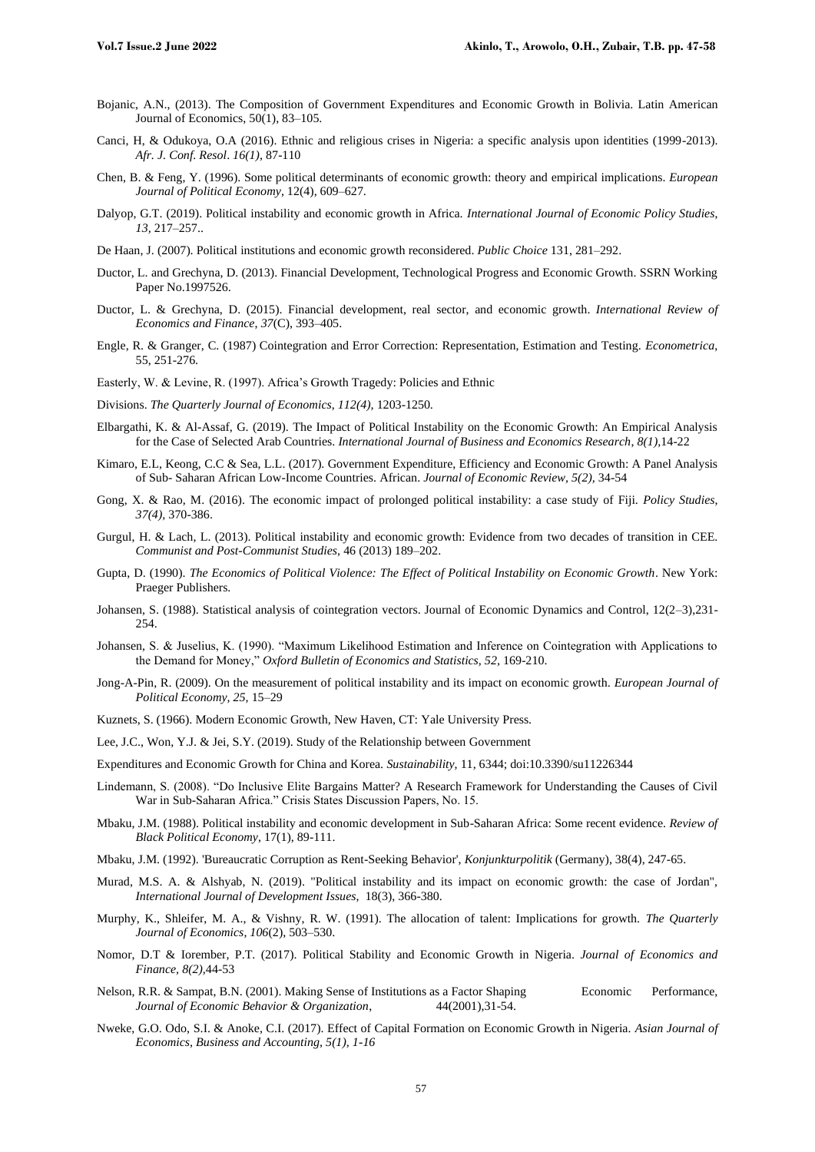- Bojanic, A.N., (2013). The Composition of Government Expenditures and Economic Growth in Bolivia. Latin American Journal of Economics, 50(1), 83–105.
- Canci, H, & Odukoya, O.A (2016). Ethnic and religious crises in Nigeria: a specific analysis upon identities (1999-2013). *Afr. J. Conf. Resol*. *16(1),* 87-110
- Chen, B. & Feng, Y. (1996). Some political determinants of economic growth: theory and empirical implications. *European Journal of Political Economy*, 12(4), 609–627.
- Dalyop, G.T. (2019). Political instability and economic growth in Africa. *International Journal of Economic Policy Studies*, *13,* 217–257..
- De Haan, J. (2007). Political institutions and economic growth reconsidered. *Public Choice* 131, 281–292.
- Ductor, L. and Grechyna, D. (2013). Financial Development, Technological Progress and Economic Growth. SSRN Working Paper No.1997526.
- Ductor, L. & Grechyna, D. (2015). Financial development, real sector, and economic growth. *International Review of Economics and Finance*, *37*(C), 393–405.
- Engle, R. & Granger, C. (1987) Cointegration and Error Correction: Representation, Estimation and Testing. *Econometrica*, 55, 251-276.
- Easterly, W. & Levine, R. (1997). Africa's Growth Tragedy: Policies and Ethnic
- Divisions. *The Quarterly Journal of Economics*, *112(4),* 1203-1250.
- Elbargathi, K. & Al-Assaf, G. (2019). The Impact of Political Instability on the Economic Growth: An Empirical Analysis for the Case of Selected Arab Countries. *International Journal of Business and Economics Research*, *8(1),*14-22
- Kimaro, E.L, Keong, C.C & Sea, L.L. (2017). Government Expenditure, Efficiency and Economic Growth: A Panel Analysis of Sub- Saharan African Low-Income Countries. African. *Journal of Economic Review, 5(2),* 34-54
- Gong, X. & Rao, M. (2016). The economic impact of prolonged political instability: a case study of Fiji. *Policy Studies*, *37(4),* 370-386.
- Gurgul, H. & Lach, L. (2013). Political instability and economic growth: Evidence from two decades of transition in CEE. *Communist and Post-Communist Studies*, 46 (2013) 189–202.
- Gupta, D. (1990). *The Economics of Political Violence: The Effect of Political Instability on Economic Growth*. New York: Praeger Publishers.
- Johansen, S. (1988). Statistical analysis of cointegration vectors. Journal of Economic Dynamics and Control, 12(2–3),231- 254.
- Johansen, S. & Juselius, K. (1990). "Maximum Likelihood Estimation and Inference on Cointegration with Applications to the Demand for Money," *Oxford Bulletin of Economics and Statistics, 52,* 169-210.
- Jong-A-Pin, R. (2009). On the measurement of political instability and its impact on economic growth. *European Journal of Political Economy, 25,* 15–29
- Kuznets, S. (1966). Modern Economic Growth, New Haven, CT: Yale University Press.
- Lee, J.C., Won, Y.J. & Jei, S.Y. (2019). Study of the Relationship between Government
- Expenditures and Economic Growth for China and Korea. *Sustainability*, 11, 6344; doi:10.3390/su11226344
- Lindemann, S. (2008). "Do Inclusive Elite Bargains Matter? A Research Framework for Understanding the Causes of Civil War in Sub-Saharan Africa." Crisis States Discussion Papers, No. 15.
- Mbaku, J.M. (1988). Political instability and economic development in Sub-Saharan Africa: Some recent evidence. *Review of Black Political Economy*, 17(1), 89-111.
- Mbaku, J.M. (1992). 'Bureaucratic Corruption as Rent-Seeking Behavior', *Konjunkturpolitik* (Germany), 38(4), 247-65.
- [Murad, M.S.](https://www.emerald.com/insight/search?q=Malak%20Samih%20Abu%20Murad) A. & [Alshyab, N.](https://www.emerald.com/insight/search?q=Nooh%20Alshyab) (2019). "Political instability and its impact on economic growth: the case of Jordan", *[International Journal of Development Issues](https://www.emerald.com/insight/publication/issn/1446-8956)*, 18(3), 366-380.
- Murphy, K., Shleifer, M. A., & Vishny, R. W. (1991). The allocation of talent: Implications for growth. *The Quarterly Journal of Economics*, *106*(2), 503–530.
- Nomor, D.T & Iorember, P.T. (2017). Political Stability and Economic Growth in Nigeria. *Journal of Economics and Finance, 8(2),*44-53
- Nelson, R.R. & Sampat, B.N. (2001). Making Sense of Institutions as a Factor Shaping Economic Performance, *Journal of Economic Behavior & Organization*, 44(2001),31-54.
- Nweke, G.O. Odo, S.I. & Anoke, C.I. (2017). Effect of Capital Formation on Economic Growth in Nigeria. *Asian Journal of Economics, Business and Accounting, 5(1), 1-16*